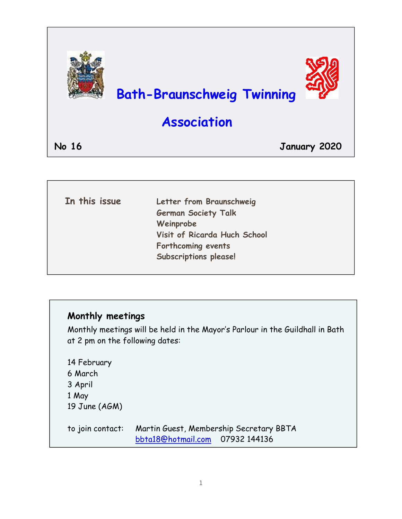

| In this issue | Letter from Braunschweig     |
|---------------|------------------------------|
|               | <b>German Society Talk</b>   |
|               | Weinprobe                    |
|               | Visit of Ricarda Huch School |
|               | Forthcoming events           |
|               | <b>Subscriptions please!</b> |
|               |                              |

### **Monthly meetings**

Monthly meetings will be held in the Mayor's Parlour in the Guildhall in Bath at 2 pm on the following dates:

14 February 6 March 3 April 1 May 19 June (AGM)

to join contact: Martin Guest, Membership Secretary BBTA [bbta18@hotmail.com](mailto:bbta18@hotmail.com) 07932 144136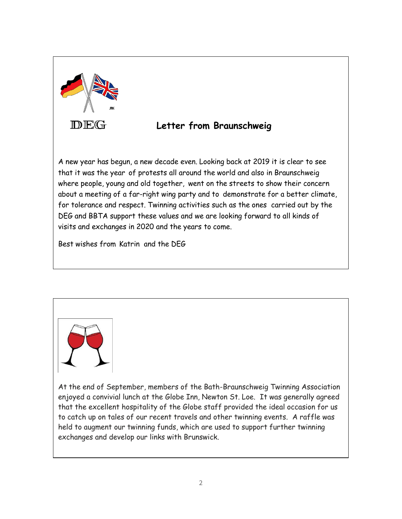

#### **Letter from Braunschweig**

A new year has begun, a new decade even. Looking back at 2019 it is clear to see that it was the year of protests all around the world and also in Braunschweig where people, young and old together, went on the streets to show their concern about a meeting of a far-right wing party and to demonstrate for a better climate, for tolerance and respect. Twinning activities such as the ones carried out by the DEG and BBTA support these values and we are looking forward to all kinds of visits and exchanges in 2020 and the years to come.

Best wishes from Katrin and the DEG



At the end of September, members of the Bath-Braunschweig Twinning Association enjoyed a convivial lunch at the Globe Inn, Newton St. Loe. It was generally agreed that the excellent hospitality of the Globe staff provided the ideal occasion for us to catch up on tales of our recent travels and other twinning events. A raffle was held to augment our twinning funds, which are used to support further twinning exchanges and develop our links with Brunswick.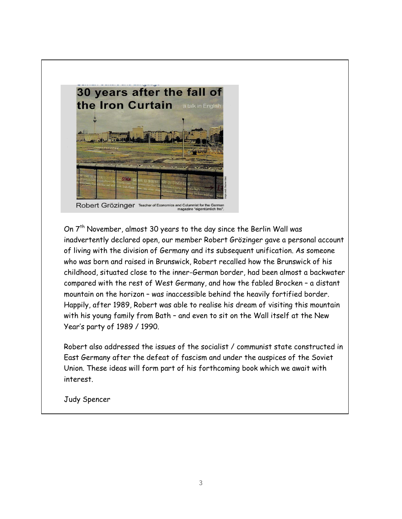

On 7<sup>th</sup> November, almost 30 years to the day since the Berlin Wall was inadvertently declared open, our member Robert Grözinger gave a personal account of living with the division of Germany and its subsequent unification. As someone who was born and raised in Brunswick, Robert recalled how the Brunswick of his childhood, situated close to the inner-German border, had been almost a backwater compared with the rest of West Germany, and how the fabled Brocken – a distant mountain on the horizon – was inaccessible behind the heavily fortified border. Happily, after 1989, Robert was able to realise his dream of visiting this mountain with his young family from Bath – and even to sit on the Wall itself at the New Year's party of 1989 / 1990.

Robert also addressed the issues of the socialist / communist state constructed in East Germany after the defeat of fascism and under the auspices of the Soviet Union. These ideas will form part of his forthcoming book which we await with interest.

Judy Spencer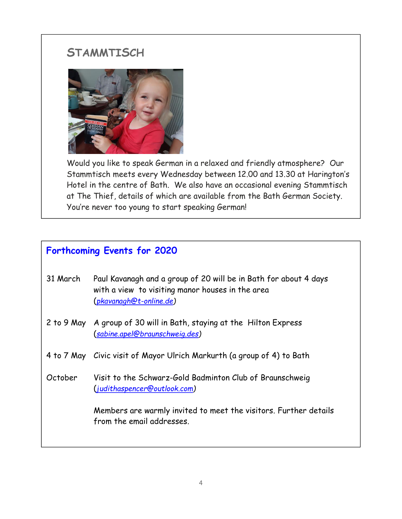## **STAMMTISCH**



Would you like to speak German in a relaxed and friendly atmosphere? Our Stammtisch meets every Wednesday between 12.00 and 13.30 at Harington's Hotel in the centre of Bath. We also have an occasional evening Stammtisch at The Thief, details of which are available from the Bath German Society. You're never too young to start speaking German!

## **Forthcoming Events for 2020**

- 31 March Paul Kavanagh and a group of 20 will be in Bath for about 4 days with a view to visiting manor houses in the area (*[pkavanagh@t-online.de\)](mailto:pkavanagh@t-online.de)*
- 2 to 9 May A group of 30 will in Bath, staying at the Hilton Express (*[sabine.apel@braunschweig.des\)](mailto:sabine.apel@braunschweig.des)*
- 4 to 7 May Civic visit of Mayor Ulrich Markurth (a group of 4) to Bath
- October Visit to the Schwarz-Gold Badminton Club of Braunschweig (*[judithaspencer@outlook.com\)](mailto:judithaspencer@outlook.com)*

Members are warmly invited to meet the visitors. Further details from the email addresses.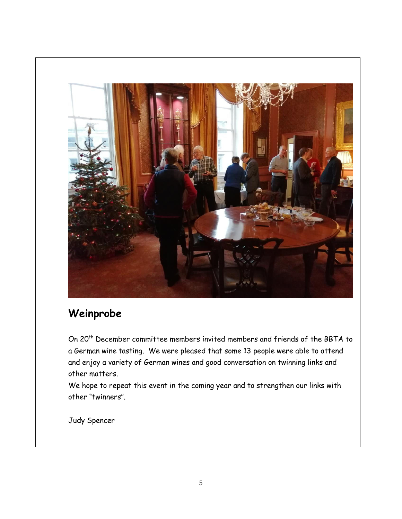

# **Weinprobe**

On 20th December committee members invited members and friends of the BBTA to a German wine tasting. We were pleased that some 13 people were able to attend and enjoy a variety of German wines and good conversation on twinning links and other matters.

We hope to repeat this event in the coming year and to strengthen our links with other "twinners".

Judy Spencer